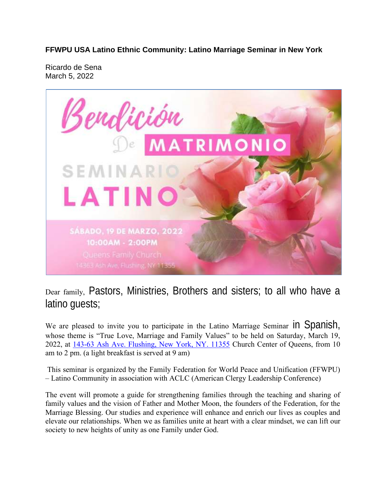**FFWPU USA Latino Ethnic Community: Latino Marriage Seminar in New York**

Ricardo de Sena March 5, 2022



Dear family, Pastors, Ministries, Brothers and sisters; to all who have a latino guests;

We are pleased to invite you to participate in the Latino Marriage Seminar  $\ln$  Spanish, whose theme is "True Love, Marriage and Family Values" to be held on Saturday, March 19, 2022, at 143-63 Ash Ave. Flushing, New York, NY. 11355 Church Center of Queens, from 10 am to 2 pm. (a light breakfast is served at 9 am)

This seminar is organized by the Family Federation for World Peace and Unification (FFWPU) – Latino Community in association with ACLC (American Clergy Leadership Conference)

The event will promote a guide for strengthening families through the teaching and sharing of family values and the vision of Father and Mother Moon, the founders of the Federation, for the Marriage Blessing. Our studies and experience will enhance and enrich our lives as couples and elevate our relationships. When we as families unite at heart with a clear mindset, we can lift our society to new heights of unity as one Family under God.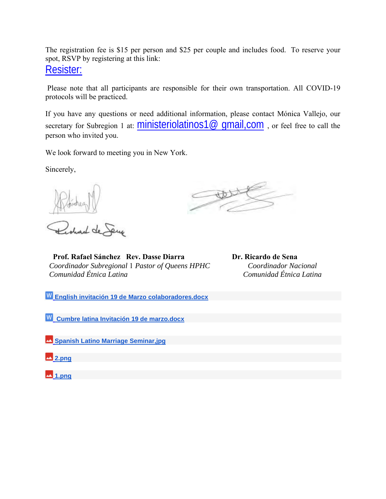The registration fee is \$15 per person and \$25 per couple and includes food. To reserve your spot, RSVP by registering at this link:

Resister:

Please note that all participants are responsible for their own transportation. All COVID-19 protocols will be practiced.

If you have any questions or need additional information, please contact Mónica Vallejo, our secretary for Subregion 1 at:  $ministeriolations1@$  qmail,  $com$ , or feel free to call the person who invited you.

We look forward to meeting you in New York.

Sincerely,

 **Prof. Rafael Sánchez Rev. Dasse Diarra <b>Dr. Ricardo de Sena**  *Coordinador Subregional* 1 *Pastor of Queens HPHC Coordinador Nacional Comunidad Étnica Latina Comunidad Étnica Latina*

**English invitación 19 de Marzo colaboradores.docx**

**Cumbre latina Invitación 19 de marzo.docx**

**Spanish Latino Marriage Seminar,jpg**

**2.png**

**1.png**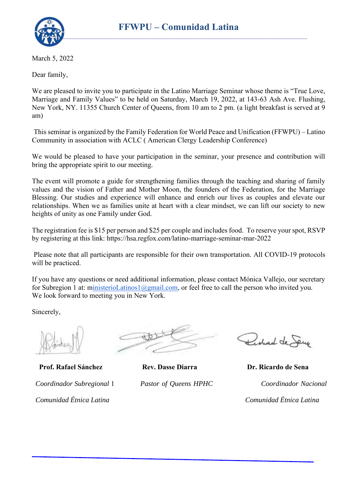March 5, 2022

Dear family,

We are pleased to invite you to participate in the Latino Marriage Seminar whose theme is "True Love, Marriage and Family Values" to be held on Saturday, March 19, 2022, at 143-63 Ash Ave. Flushing, New York, NY. 11355 Church Center of Queens, from 10 am to 2 pm. (a light breakfast is served at 9 am)

This seminar is organized by the Family Federation for World Peace and Unification (FFWPU) – Latino Community in association with ACLC ( American Clergy Leadership Conference)

We would be pleased to have your participation in the seminar, your presence and contribution will bring the appropriate spirit to our meeting.

The event will promote a guide for strengthening families through the teaching and sharing of family values and the vision of Father and Mother Moon, the founders of the Federation, for the Marriage Blessing. Our studies and experience will enhance and enrich our lives as couples and elevate our relationships. When we as families unite at heart with a clear mindset, we can lift our society to new heights of unity as one Family under God.

The registration fee is \$15 per person and \$25 per couple and includes food. To reserve your spot, RSVP by registering at this link: https://hsa.regfox.com/latino-marriage-seminar-mar-2022

Please note that all participants are responsible for their own transportation. All COVID-19 protocols will be practiced.

If you have any questions or need additional information, please contact Mónica Vallejo, our secretary for Subregion 1 at: ministerioLatinos1@gmail.com, or feel free to call the person who invited you. We look forward to meeting you in New York.

Sincerely,

 **Prof. Rafael Sánchez Rev. Dasse Diarra Dr. Ricardo de Sena**

 *Comunidad Étnica Latina Comunidad Étnica Latina*



Redard de Seup

 *Coordinador Subregional* 1 *Pastor of Queens HPHC Coordinador Nacional*